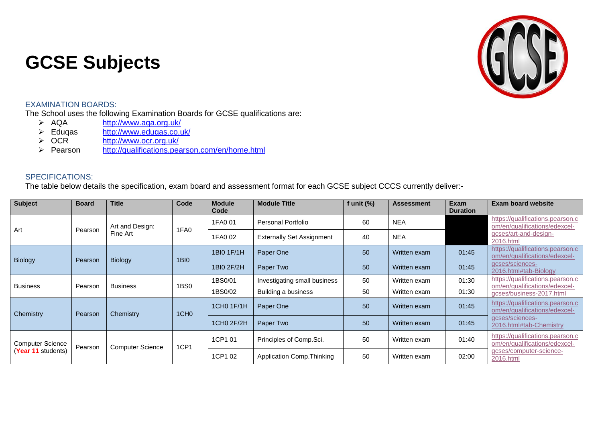## **GCSE Subjects**



## EXAMINATION BOARDS:

The School uses the following Examination Boards for GCSE qualifications are:<br> $\triangleright$  AQA http://www.aga.org.uk/

- > AQA <http://www.aqa.org.uk/><br>> Eduqas http://www.eduqas.co.u
- > Eduqas <http://www.eduqas.co.uk/><br>
> OCR http://www.ocr.org.uk/
- > OCR <http://www.ocr.org.uk/><br>
> Pearson http://qualifications.pea
- <http://qualifications.pearson.com/en/home.html>

## SPECIFICATIONS:

The table below details the specification, exam board and assessment format for each GCSE subject CCCS currently deliver:-

| <b>Subject</b>          | <b>Board</b> | <b>Title</b>                | Code             | <b>Module</b><br>Code | <b>Module Title</b>              | f unit $(\%)$ | <b>Assessment</b> | Exam<br><b>Duration</b> | <b>Exam board website</b>                                         |
|-------------------------|--------------|-----------------------------|------------------|-----------------------|----------------------------------|---------------|-------------------|-------------------------|-------------------------------------------------------------------|
| Art                     | Pearson      | Art and Design:<br>Fine Art | 1FA0             | 1FA0 01               | <b>Personal Portfolio</b>        | 60            | <b>NEA</b>        |                         | https://qualifications.pearson.c<br>om/en/qualifications/edexcel- |
|                         |              |                             |                  | 1FA0 02               | <b>Externally Set Assignment</b> | 40            | <b>NEA</b>        |                         | gcses/art-and-design-<br>2016.html                                |
| Biology                 | Pearson      | <b>Biology</b>              | <b>1BI0</b>      | 1BI0 1F/1H            | Paper One                        | 50            | Written exam      | 01:45                   | https://qualifications.pearson.c<br>om/en/qualifications/edexcel- |
|                         |              |                             |                  | 1BI0 2F/2H            | Paper Two                        | 50            | Written exam      | 01:45                   | gcses/sciences-<br>2016.html#tab-Biology                          |
| <b>Business</b>         | Pearson      | <b>Business</b>             | 1BS0             | 1BS0/01               | Investigating small business     | 50            | Written exam      | 01:30                   | https://qualifications.pearson.c<br>om/en/qualifications/edexcel- |
|                         |              |                             |                  | 1BS0/02               | Building a business              | 50            | Written exam      | 01:30                   | gcses/business-2017.html                                          |
| Chemistry               | Pearson      | Chemistry                   | 1CH <sub>0</sub> | 1CH0 1F/1H            | Paper One                        | 50            | Written exam      | 01:45                   | https://qualifications.pearson.c<br>om/en/qualifications/edexcel- |
|                         |              |                             |                  | 1CH0 2F/2H            | Paper Two                        | 50            | Written exam      | 01:45                   | qcses/sciences-<br>2016.html#tab-Chemistry                        |
| <b>Computer Science</b> | Pearson      | <b>Computer Science</b>     | 1CP1             | 1CP1 01               | Principles of Comp.Sci.          | 50            | Written exam      | 01:40                   | https://qualifications.pearson.c<br>om/en/qualifications/edexcel- |
| (Year 11 students)      |              |                             |                  | 1CP1 02               | Application Comp. Thinking       | 50            | Written exam      | 02:00                   | qcses/computer-science-<br>2016.html                              |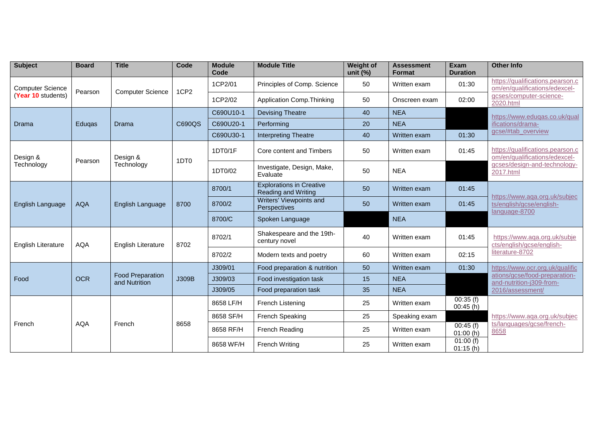| <b>Subject</b>                                | <b>Board</b> | <b>Title</b>                             | Code             | <b>Module</b><br>Code | <b>Module Title</b>                                           | <b>Weight of</b><br>unit $(\%)$ | <b>Assessment</b><br><b>Format</b> | Exam<br><b>Duration</b> | <b>Other Info</b>                                                                                              |
|-----------------------------------------------|--------------|------------------------------------------|------------------|-----------------------|---------------------------------------------------------------|---------------------------------|------------------------------------|-------------------------|----------------------------------------------------------------------------------------------------------------|
| <b>Computer Science</b><br>(Year 10 students) | Pearson      | <b>Computer Science</b>                  | 1CP <sub>2</sub> | 1CP2/01               | Principles of Comp. Science                                   | 50                              | Written exam                       | 01:30                   | https://qualifications.pearson.c<br>om/en/qualifications/edexcel-                                              |
|                                               |              |                                          |                  | 1CP2/02               | Application Comp. Thinking                                    | 50                              | Onscreen exam                      | 02:00                   | gcses/computer-science-<br>2020.html                                                                           |
|                                               | Eduqas       | Drama                                    | C690QS           | C690U10-1             | <b>Devising Theatre</b>                                       | 40                              | <b>NEA</b>                         |                         | https://www.eduqas.co.uk/qual<br>ifications/drama-                                                             |
| Drama                                         |              |                                          |                  | C690U20-1             | Performing                                                    | 20                              | <b>NEA</b>                         |                         |                                                                                                                |
|                                               |              |                                          |                  | C690U30-1             | <b>Interpreting Theatre</b>                                   | 40                              | Written exam                       | 01:30                   | gcse/#tab_overview                                                                                             |
| Design &<br>Technology                        |              | Design &<br>Technology                   | 1DT <sub>0</sub> | 1DT0/1F               | Core content and Timbers                                      | 50                              | Written exam                       | 01:45                   | https://qualifications.pearson.c<br>om/en/qualifications/edexcel-<br>gcses/design-and-technology-<br>2017.html |
|                                               | Pearson      |                                          |                  | 1DT0/02               | Investigate, Design, Make,<br>Evaluate                        | 50                              | <b>NEA</b>                         |                         |                                                                                                                |
| English Language                              | <b>AQA</b>   | English Language                         | 8700             | 8700/1                | <b>Explorations in Creative</b><br><b>Reading and Writing</b> | 50                              | Written exam                       | 01:45                   | https://www.aqa.org.uk/subjec<br>ts/english/gcse/english-<br>language-8700                                     |
|                                               |              |                                          |                  | 8700/2                | Writers' Viewpoints and<br>Perspectives                       | 50                              | Written exam                       | 01:45                   |                                                                                                                |
|                                               |              |                                          |                  | 8700/C                | Spoken Language                                               |                                 | <b>NEA</b>                         |                         |                                                                                                                |
| <b>English Literature</b>                     | AQA          | <b>English Literature</b>                | 8702             | 8702/1                | Shakespeare and the 19th-<br>century novel                    | 40                              | Written exam                       | 01:45                   | https://www.aqa.org.uk/subje<br>cts/english/gcse/english-<br>literature-8702                                   |
|                                               |              |                                          |                  | 8702/2                | Modern texts and poetry                                       | 60                              | Written exam                       | 02:15                   |                                                                                                                |
|                                               | <b>OCR</b>   | <b>Food Preparation</b><br>and Nutrition | J309B            | J309/01               | Food preparation & nutrition                                  | 50                              | Written exam                       | 01:30                   | https://www.ocr.org.uk/qualific                                                                                |
| Food                                          |              |                                          |                  | J309/03               | Food investigation task                                       | 15                              | <b>NEA</b>                         |                         | ations/gcse/food-preparation-<br>and-nutrition-j309-from-                                                      |
|                                               |              |                                          |                  | J309/05               | Food preparation task                                         | 35                              | <b>NEA</b>                         |                         | 2016/assessment/                                                                                               |
| French                                        | <b>AQA</b>   | French                                   | 8658             | 8658 LF/H             | French Listening                                              | 25                              | Written exam                       | 00:35(f)<br>00:45(h)    | https://www.aqa.org.uk/subjec                                                                                  |
|                                               |              |                                          |                  | 8658 SF/H             | French Speaking                                               | 25                              | Speaking exam                      |                         |                                                                                                                |
|                                               |              |                                          |                  | 8658 RF/H             | French Reading                                                | 25                              | Written exam                       | 00:45(f)<br>01:00(h)    | ts/languages/gcse/french-<br>8658                                                                              |
|                                               |              |                                          |                  | 8658 WF/H             | French Writing                                                | 25                              | Written exam                       | 01:00(f)<br>01:15(h)    |                                                                                                                |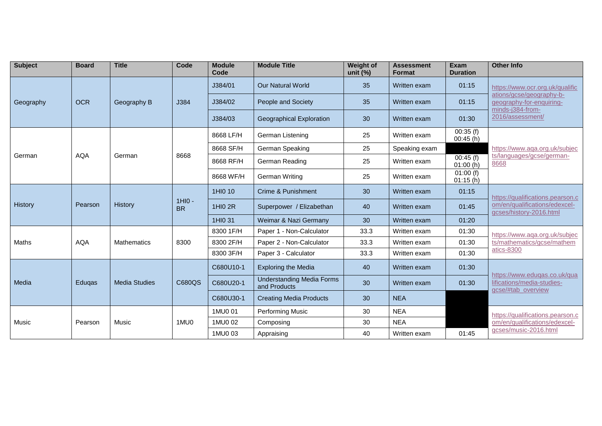| <b>Subject</b> | <b>Board</b> | <b>Title</b>         | Code                  | <b>Module</b><br>Code | <b>Module Title</b>                              | <b>Weight of</b><br>unit $(\%)$ | <b>Assessment</b><br><b>Format</b> | <b>Exam</b><br><b>Duration</b>     | <b>Other Info</b>                                                                                                               |
|----------------|--------------|----------------------|-----------------------|-----------------------|--------------------------------------------------|---------------------------------|------------------------------------|------------------------------------|---------------------------------------------------------------------------------------------------------------------------------|
| Geography      | <b>OCR</b>   | Geography B          | J384                  | J384/01               | <b>Our Natural World</b>                         | 35                              | Written exam                       | 01:15                              | https://www.ocr.org.uk/qualific<br>ations/gcse/geography-b-<br>geography-for-enquiring-<br>minds-j384-from-<br>2016/assessment/ |
|                |              |                      |                       | J384/02               | People and Society                               | 35                              | Written exam                       | 01:15                              |                                                                                                                                 |
|                |              |                      |                       | J384/03               | <b>Geographical Exploration</b>                  | 30                              | Written exam                       | 01:30                              |                                                                                                                                 |
|                |              | German               | 8668                  | 8668 LF/H             | German Listening                                 | 25                              | Written exam                       | $\overline{00:35}$ (f)<br>00:45(h) | https://www.aqa.org.uk/subjec<br>ts/languages/gcse/german-<br>8668                                                              |
|                | AQA          |                      |                       | 8668 SF/H             | German Speaking                                  | 25                              | Speaking exam                      |                                    |                                                                                                                                 |
| German         |              |                      |                       | 8668 RF/H             | German Reading                                   | 25                              | Written exam                       | 00:45(f)<br>01:00(h)               |                                                                                                                                 |
|                |              |                      |                       | 8668 WF/H             | <b>German Writing</b>                            | 25                              | Written exam                       | 01:00(f)<br>01:15(h)               |                                                                                                                                 |
| <b>History</b> | Pearson      | History              | $1HIO -$<br><b>BR</b> | 1HI0 10               | Crime & Punishment                               | 30                              | Written exam                       | 01:15                              | https://qualifications.pearson.c<br>om/en/qualifications/edexcel-<br>gcses/history-2016.html                                    |
|                |              |                      |                       | 1HI0 2R               | Superpower / Elizabethan                         | 40                              | Written exam                       | 01:45                              |                                                                                                                                 |
|                |              |                      |                       | 1HI0 31               | Weimar & Nazi Germany                            | 30                              | Written exam                       | 01:20                              |                                                                                                                                 |
|                | <b>AQA</b>   | <b>Mathematics</b>   | 8300                  | 8300 1F/H             | Paper 1 - Non-Calculator                         | 33.3                            | Written exam                       | 01:30                              | https://www.aqa.org.uk/subjec<br>ts/mathematics/gcse/mathem<br>atics-8300                                                       |
| Maths          |              |                      |                       | 8300 2F/H             | Paper 2 - Non-Calculator                         | 33.3                            | Written exam                       | 01:30                              |                                                                                                                                 |
|                |              |                      |                       | 8300 3F/H             | Paper 3 - Calculator                             | 33.3                            | Written exam                       | 01:30                              |                                                                                                                                 |
| Media          | Eduqas       | <b>Media Studies</b> | C680QS                | C680U10-1             | <b>Exploring the Media</b>                       | 40                              | Written exam                       | 01:30                              | https://www.eduqas.co.uk/qua<br>lifications/media-studies-<br>gcse/#tab_overview                                                |
|                |              |                      |                       | C680U20-1             | <b>Understanding Media Forms</b><br>and Products | 30                              | Written exam                       | 01:30                              |                                                                                                                                 |
|                |              |                      |                       | C680U30-1             | <b>Creating Media Products</b>                   | 30                              | <b>NEA</b>                         |                                    |                                                                                                                                 |
| Music          | Pearson      | Music                | 1MU0                  | 1MU0 01               | <b>Performing Music</b>                          | 30                              | <b>NEA</b>                         |                                    | https://qualifications.pearson.c                                                                                                |
|                |              |                      |                       | 1MU0 02               | Composing                                        | 30                              | <b>NEA</b>                         |                                    | om/en/qualifications/edexcel-                                                                                                   |
|                |              |                      |                       | 1MU0 03               | Appraising                                       | 40                              | Written exam                       | 01:45                              | gcses/music-2016.html                                                                                                           |